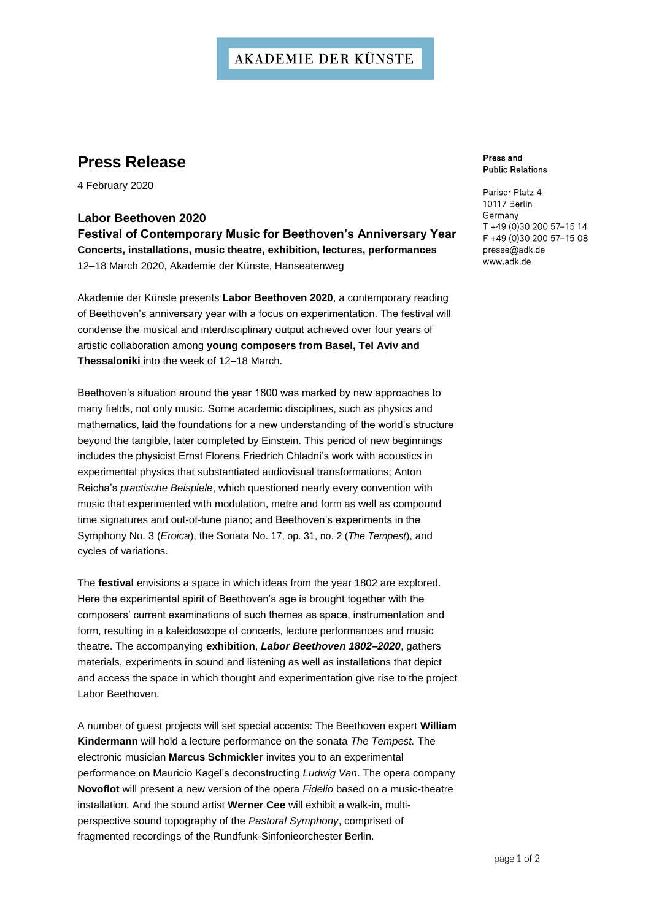## **AKADEMIE DER KÜNSTE**

## **Press Release**

4 February 2020

**Labor Beethoven 2020 Festival of Contemporary Music for Beethoven's Anniversary Year Concerts, installations, music theatre, exhibition, lectures, performances** 12–18 March 2020, Akademie der Künste, Hanseatenweg

Akademie der Künste presents **Labor Beethoven 2020**, a contemporary reading of Beethoven's anniversary year with a focus on experimentation. The festival will condense the musical and interdisciplinary output achieved over four years of artistic collaboration among **young composers from Basel, Tel Aviv and Thessaloniki** into the week of 12–18 March.

Beethoven's situation around the year 1800 was marked by new approaches to many fields, not only music. Some academic disciplines, such as physics and mathematics, laid the foundations for a new understanding of the world's structure beyond the tangible, later completed by Einstein. This period of new beginnings includes the physicist Ernst Florens Friedrich Chladni's work with acoustics in experimental physics that substantiated audiovisual transformations; Anton Reicha's *practische Beispiele*, which questioned nearly every convention with music that experimented with modulation, metre and form as well as compound time signatures and out-of-tune piano; and Beethoven's experiments in the Symphony No. 3 (*Eroica*), the Sonata No. 17, op. 31, no. 2 (*The Tempest*), and cycles of variations.

The **festival** envisions a space in which ideas from the year 1802 are explored. Here the experimental spirit of Beethoven's age is brought together with the composers' current examinations of such themes as space, instrumentation and form, resulting in a kaleidoscope of concerts, lecture performances and music theatre. The accompanying **exhibition**, *Labor Beethoven 1802–2020*, gathers materials, experiments in sound and listening as well as installations that depict and access the space in which thought and experimentation give rise to the project Labor Beethoven.

A number of guest projects will set special accents: The Beethoven expert **William Kindermann** will hold a lecture performance on the sonata *The Tempest.* The electronic musician **Marcus Schmickler** invites you to an experimental performance on Mauricio Kagel's deconstructing *Ludwig Van*. The opera company **Novoflot** will present a new version of the opera *Fidelio* based on a music-theatre installation*.* And the sound artist **Werner Cee** will exhibit a walk-in, multiperspective sound topography of the *Pastoral Symphony*, comprised of fragmented recordings of the Rundfunk-Sinfonieorchester Berlin.

Press and **Public Relations** 

Pariser Platz 4 10117 Berlin Germany T +49 (0)30 200 57-15 14 F +49 (0)30 200 57-15 08 presse@adk.de www.adk.de